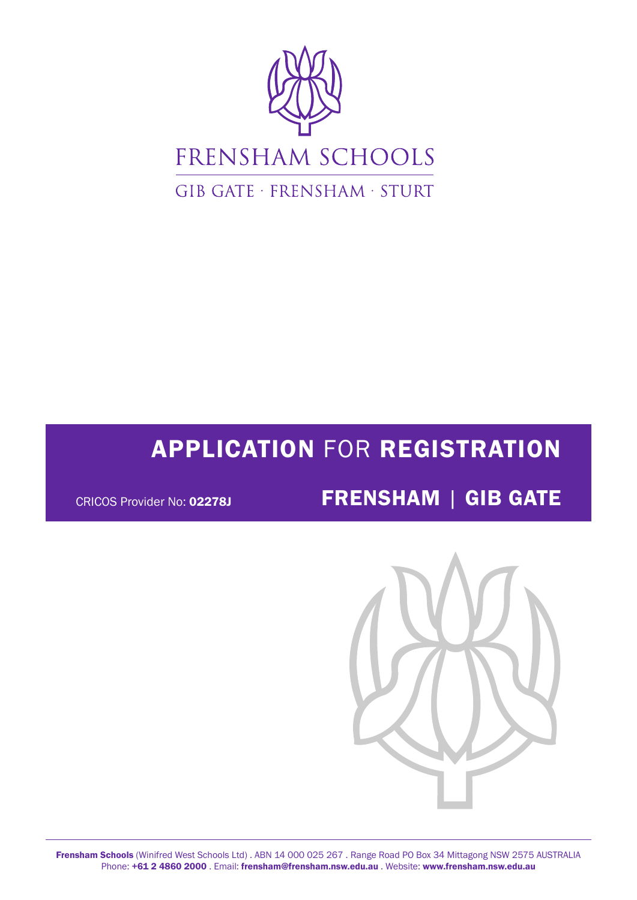

# APPLICATION FOR REGISTRATION

# CRICOS Provider No: 02278J **FRENSHAM** | GIB GATE

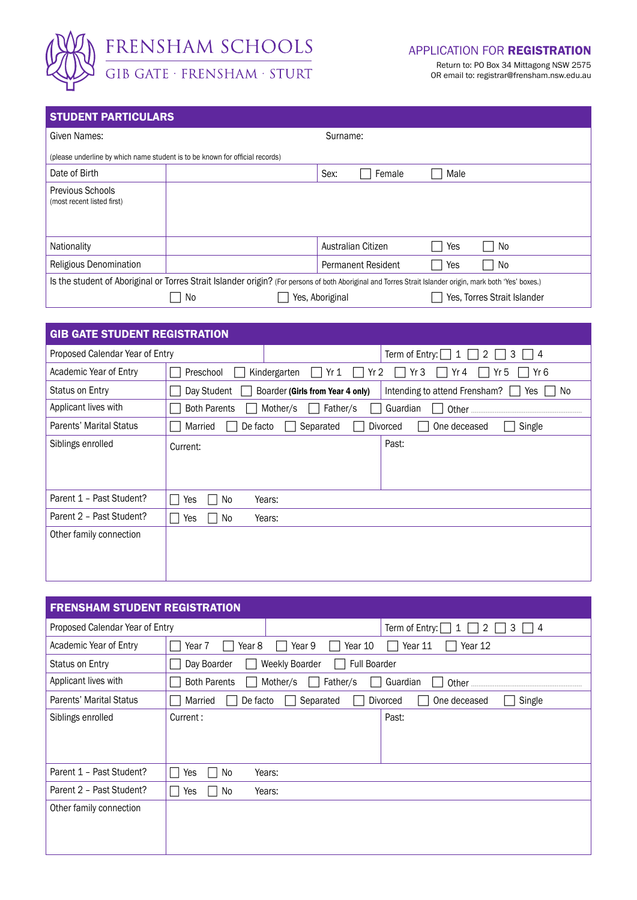

#### APPLICATION FOR REGISTRATION

Return to: PO Box 34 Mittagong NSW 2575 OR email to: registrar@frensham.nsw.edu.au

## STUDENT PARTICULARS

| Given Names:                                                                                                                                              |    |                             |                    | Surname:                  |      |      |  |  |  |  |  |
|-----------------------------------------------------------------------------------------------------------------------------------------------------------|----|-----------------------------|--------------------|---------------------------|------|------|--|--|--|--|--|
| (please underline by which name student is to be known for official records)                                                                              |    |                             |                    |                           |      |      |  |  |  |  |  |
| Date of Birth                                                                                                                                             |    |                             | Sex:               | Female                    | Male |      |  |  |  |  |  |
| <b>Previous Schools</b><br>(most recent listed first)                                                                                                     |    |                             |                    |                           |      |      |  |  |  |  |  |
| Nationality                                                                                                                                               |    |                             | Australian Citizen |                           | Yes  | l No |  |  |  |  |  |
| Religious Denomination                                                                                                                                    |    |                             |                    | <b>Permanent Resident</b> | Yes  | No.  |  |  |  |  |  |
| Is the student of Aboriginal or Torres Strait Islander origin? (For persons of both Aboriginal and Torres Strait Islander origin, mark both 'Yes' boxes.) |    |                             |                    |                           |      |      |  |  |  |  |  |
|                                                                                                                                                           | No | Yes, Torres Strait Islander |                    |                           |      |      |  |  |  |  |  |

| <b>GIB GATE STUDENT REGISTRATION</b> |                     |                                  |                                                 |  |  |  |  |
|--------------------------------------|---------------------|----------------------------------|-------------------------------------------------|--|--|--|--|
| Proposed Calendar Year of Entry      |                     |                                  | Term of Entry: $\Box$ 1<br>2<br>3<br>4          |  |  |  |  |
| Academic Year of Entry               | Preschool           | Kindergarten<br>Yr 1             | Yr 6<br>Yr <sub>2</sub><br>Yr 3<br>Yr 4<br>Yr 5 |  |  |  |  |
| Status on Entry                      | Day Student         | Boarder (Girls from Year 4 only) | Intending to attend Frensham?<br>No.<br>Yes     |  |  |  |  |
| Applicant lives with                 | <b>Both Parents</b> | Mother/s<br>Father/s             | Guardian<br>Other                               |  |  |  |  |
| <b>Parents' Marital Status</b>       | Married<br>De facto | Separated                        | Single<br><b>Divorced</b><br>One deceased       |  |  |  |  |
| Siblings enrolled                    | Current:            |                                  | Past:                                           |  |  |  |  |
| Parent 1 - Past Student?             | No<br>Yes           | Years:                           |                                                 |  |  |  |  |
| Parent 2 - Past Student?             | No<br>Yes           | Years:                           |                                                 |  |  |  |  |
| Other family connection              |                     |                                  |                                                 |  |  |  |  |

| <b>FRENSHAM STUDENT REGISTRATION</b> |                                                      |                                    |  |  |  |  |  |  |
|--------------------------------------|------------------------------------------------------|------------------------------------|--|--|--|--|--|--|
| Proposed Calendar Year of Entry      |                                                      | Term of Entry: [<br>2<br>3<br>4    |  |  |  |  |  |  |
| Academic Year of Entry               | Year 9<br>Year 8<br>Year 10<br>Year 7                | Year 11<br>Year 12                 |  |  |  |  |  |  |
| Status on Entry                      | <b>Full Boarder</b><br>Day Boarder<br>Weekly Boarder |                                    |  |  |  |  |  |  |
| Applicant lives with                 | <b>Both Parents</b><br>Mother/s<br>Father/s          | Guardian                           |  |  |  |  |  |  |
| Parents' Marital Status              | Separated<br>De facto<br>Married                     | Divorced<br>One deceased<br>Single |  |  |  |  |  |  |
| Siblings enrolled                    | Current:                                             | Past:                              |  |  |  |  |  |  |
|                                      |                                                      |                                    |  |  |  |  |  |  |
|                                      |                                                      |                                    |  |  |  |  |  |  |
| Parent 1 - Past Student?             | No<br>Years:<br>Yes                                  |                                    |  |  |  |  |  |  |
| Parent 2 - Past Student?             | No<br>Yes<br>Years:                                  |                                    |  |  |  |  |  |  |
| Other family connection              |                                                      |                                    |  |  |  |  |  |  |
|                                      |                                                      |                                    |  |  |  |  |  |  |
|                                      |                                                      |                                    |  |  |  |  |  |  |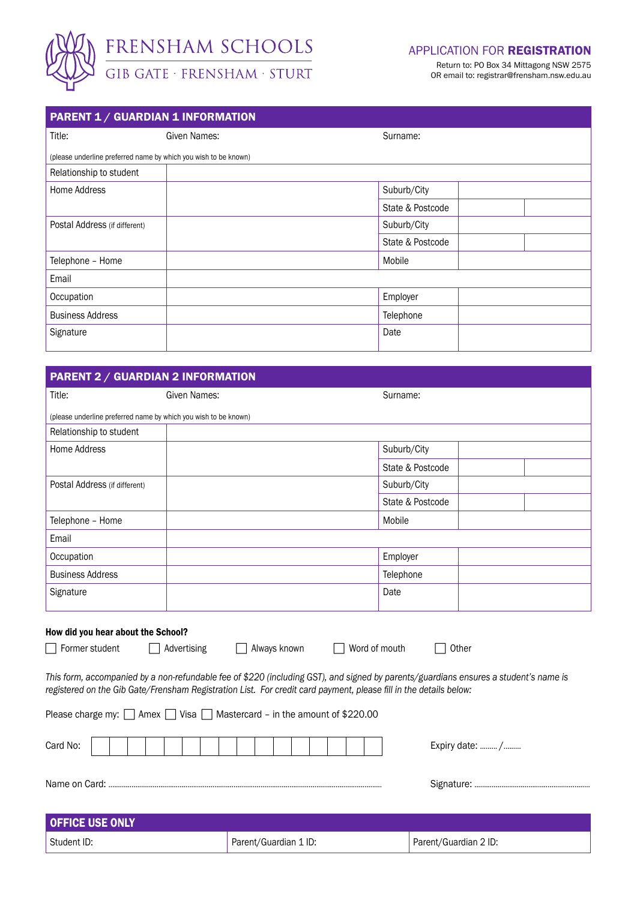

Return to: PO Box 34 Mittagong NSW 2575 OR email to: registrar@frensham.nsw.edu.au

| <b>PARENT 1 / GUARDIAN 1 INFORMATION</b>                        |              |                  |  |  |  |  |  |  |
|-----------------------------------------------------------------|--------------|------------------|--|--|--|--|--|--|
| Title:                                                          | Given Names: | Surname:         |  |  |  |  |  |  |
| (please underline preferred name by which you wish to be known) |              |                  |  |  |  |  |  |  |
| Relationship to student                                         |              |                  |  |  |  |  |  |  |
| Home Address                                                    |              | Suburb/City      |  |  |  |  |  |  |
|                                                                 |              | State & Postcode |  |  |  |  |  |  |
| Postal Address (if different)                                   |              | Suburb/City      |  |  |  |  |  |  |
|                                                                 |              | State & Postcode |  |  |  |  |  |  |
| Telephone - Home                                                |              | Mobile           |  |  |  |  |  |  |
| Email                                                           |              |                  |  |  |  |  |  |  |
| Occupation                                                      |              | Employer         |  |  |  |  |  |  |
| <b>Business Address</b>                                         |              | Telephone        |  |  |  |  |  |  |
| Signature                                                       |              | Date             |  |  |  |  |  |  |
|                                                                 |              |                  |  |  |  |  |  |  |

| Title:                        | Given Names:                                                    | Surname:         |
|-------------------------------|-----------------------------------------------------------------|------------------|
|                               | (please underline preferred name by which you wish to be known) |                  |
| Relationship to student       |                                                                 |                  |
| Home Address                  |                                                                 | Suburb/City      |
|                               |                                                                 | State & Postcode |
| Postal Address (if different) |                                                                 | Suburb/City      |
|                               |                                                                 | State & Postcode |
| Telephone - Home              |                                                                 | Mobile           |
| Email                         |                                                                 |                  |
| Occupation                    |                                                                 | Employer         |
| <b>Business Address</b>       |                                                                 | Telephone        |
| Signature                     |                                                                 | Date             |
|                               |                                                                 |                  |

*This form, accompanied by a non-refundable fee of \$220 (including GST), and signed by parents/guardians ensures a student's name is registered on the Gib Gate/Frensham Registration List. For credit card payment, please fill in the details below:*

|             | Please charge my: $\Box$ Amex $\Box$ Visa $\Box$ Mastercard - in the amount of \$220.00 |  |  |                       |  |  |  |  |                       |
|-------------|-----------------------------------------------------------------------------------------|--|--|-----------------------|--|--|--|--|-----------------------|
| Card No:    |                                                                                         |  |  |                       |  |  |  |  | Expiry date:  /       |
|             |                                                                                         |  |  |                       |  |  |  |  |                       |
|             | <b>OFFICE USE ONLY</b>                                                                  |  |  |                       |  |  |  |  |                       |
| Student ID: |                                                                                         |  |  | Parent/Guardian 1 ID: |  |  |  |  | Parent/Guardian 2 ID: |